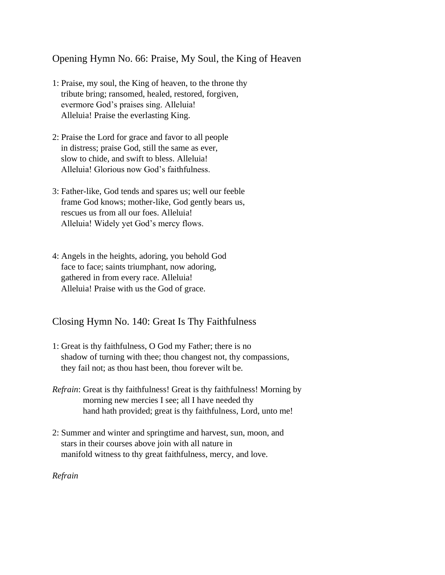Opening Hymn No. 66: Praise, My Soul, the King of Heaven

- 1: Praise, my soul, the King of heaven, to the throne thy tribute bring; ransomed, healed, restored, forgiven, evermore God's praises sing. Alleluia! Alleluia! Praise the everlasting King.
- 2: Praise the Lord for grace and favor to all people in distress; praise God, still the same as ever, slow to chide, and swift to bless. Alleluia! Alleluia! Glorious now God's faithfulness.
- 3: Father-like, God tends and spares us; well our feeble frame God knows; mother-like, God gently bears us, rescues us from all our foes. Alleluia! Alleluia! Widely yet God's mercy flows.
- 4: Angels in the heights, adoring, you behold God face to face; saints triumphant, now adoring, gathered in from every race. Alleluia! Alleluia! Praise with us the God of grace.

Closing Hymn No. 140: Great Is Thy Faithfulness

- 1: Great is thy faithfulness, O God my Father; there is no shadow of turning with thee; thou changest not, thy compassions, they fail not; as thou hast been, thou forever wilt be.
- *Refrain*: Great is thy faithfulness! Great is thy faithfulness! Morning by morning new mercies I see; all I have needed thy hand hath provided; great is thy faithfulness, Lord, unto me!
- 2: Summer and winter and springtime and harvest, sun, moon, and stars in their courses above join with all nature in manifold witness to thy great faithfulness, mercy, and love.

*Refrain*